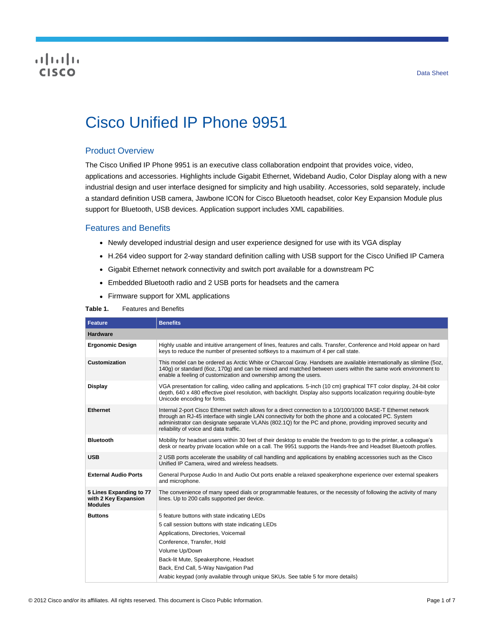## **CISCO**

# Cisco Unified IP Phone 9951

## Product Overview

The Cisco Unified IP Phone 9951 is an executive class collaboration endpoint that provides voice, video, applications and accessories. Highlights include Gigabit Ethernet, Wideband Audio, Color Display along with a new industrial design and user interface designed for simplicity and high usability. Accessories, sold separately, include a standard definition USB camera, Jawbone ICON for Cisco Bluetooth headset, color Key Expansion Module plus support for Bluetooth, USB devices. Application support includes XML capabilities.

## Features and Benefits

- Newly developed industrial design and user experience designed for use with its VGA display
- H.264 video support for 2-way standard definition calling with USB support for the Cisco Unified IP Camera
- Gigabit Ethernet network connectivity and switch port available for a downstream PC
- Embedded Bluetooth radio and 2 USB ports for headsets and the camera
- Firmware support for XML applications

#### **Table 1.** Features and Benefits

| <b>Feature</b>                                                    | <b>Benefits</b>                                                                                                                                                                                                                                                                                                                                                               |  |  |
|-------------------------------------------------------------------|-------------------------------------------------------------------------------------------------------------------------------------------------------------------------------------------------------------------------------------------------------------------------------------------------------------------------------------------------------------------------------|--|--|
| <b>Hardware</b>                                                   |                                                                                                                                                                                                                                                                                                                                                                               |  |  |
| <b>Ergonomic Design</b>                                           | Highly usable and intuitive arrangement of lines, features and calls. Transfer, Conference and Hold appear on hard<br>keys to reduce the number of presented softkeys to a maximum of 4 per call state.                                                                                                                                                                       |  |  |
| Customization                                                     | This model can be ordered as Arctic White or Charcoal Gray. Handsets are available internationally as slimline (50z,<br>140g) or standard (6oz, 170g) and can be mixed and matched between users within the same work environment to<br>enable a feeling of customization and ownership among the users.                                                                      |  |  |
| <b>Display</b>                                                    | VGA presentation for calling, video calling and applications. 5-inch (10 cm) graphical TFT color display, 24-bit color<br>depth, 640 x 480 effective pixel resolution, with backlight. Display also supports localization requiring double-byte<br>Unicode encoding for fonts.                                                                                                |  |  |
| <b>Ethernet</b>                                                   | Internal 2-port Cisco Ethernet switch allows for a direct connection to a 10/100/1000 BASE-T Ethernet network<br>through an RJ-45 interface with single LAN connectivity for both the phone and a colocated PC. System<br>administrator can designate separate VLANs (802.1Q) for the PC and phone, providing improved security and<br>reliability of voice and data traffic. |  |  |
| <b>Bluetooth</b>                                                  | Mobility for headset users within 30 feet of their desktop to enable the freedom to go to the printer, a colleague's<br>desk or nearby private location while on a call. The 9951 supports the Hands-free and Headset Bluetooth profiles.                                                                                                                                     |  |  |
| <b>USB</b>                                                        | 2 USB ports accelerate the usability of call handling and applications by enabling accessories such as the Cisco<br>Unified IP Camera, wired and wireless headsets.                                                                                                                                                                                                           |  |  |
| <b>External Audio Ports</b>                                       | General Purpose Audio In and Audio Out ports enable a relaxed speakerphone experience over external speakers<br>and microphone.                                                                                                                                                                                                                                               |  |  |
| 5 Lines Expanding to 77<br>with 2 Key Expansion<br><b>Modules</b> | The convenience of many speed dials or programmable features, or the necessity of following the activity of many<br>lines. Up to 200 calls supported per device.                                                                                                                                                                                                              |  |  |
| <b>Buttons</b>                                                    | 5 feature buttons with state indicating LEDs                                                                                                                                                                                                                                                                                                                                  |  |  |
|                                                                   | 5 call session buttons with state indicating LEDs                                                                                                                                                                                                                                                                                                                             |  |  |
|                                                                   | Applications, Directories, Voicemail                                                                                                                                                                                                                                                                                                                                          |  |  |
|                                                                   | Conference, Transfer, Hold                                                                                                                                                                                                                                                                                                                                                    |  |  |
|                                                                   | Volume Up/Down                                                                                                                                                                                                                                                                                                                                                                |  |  |
|                                                                   | Back-lit Mute, Speakerphone, Headset                                                                                                                                                                                                                                                                                                                                          |  |  |
|                                                                   | Back, End Call, 5-Way Navigation Pad                                                                                                                                                                                                                                                                                                                                          |  |  |
|                                                                   | Arabic keypad (only available through unique SKUs. See table 5 for more details)                                                                                                                                                                                                                                                                                              |  |  |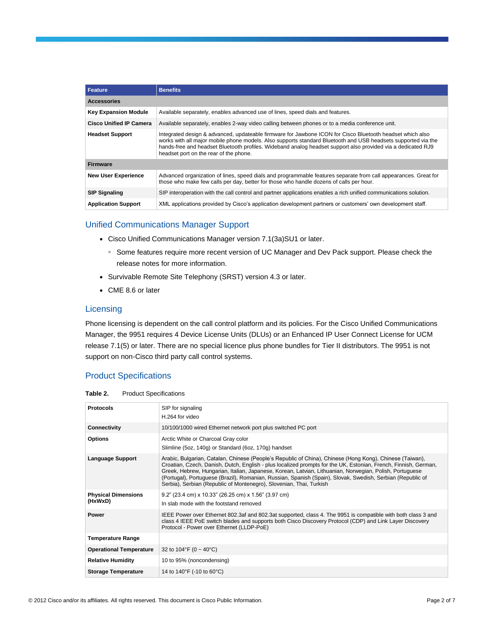| Feature                        | <b>Benefits</b>                                                                                                                                                                                                                                                                                                                                                                      |  |  |
|--------------------------------|--------------------------------------------------------------------------------------------------------------------------------------------------------------------------------------------------------------------------------------------------------------------------------------------------------------------------------------------------------------------------------------|--|--|
| <b>Accessories</b>             |                                                                                                                                                                                                                                                                                                                                                                                      |  |  |
| <b>Key Expansion Module</b>    | Available separately, enables advanced use of lines, speed dials and features.                                                                                                                                                                                                                                                                                                       |  |  |
| <b>Cisco Unified IP Camera</b> | Available separately, enables 2-way video calling between phones or to a media conference unit.                                                                                                                                                                                                                                                                                      |  |  |
| <b>Headset Support</b>         | Integrated design & advanced, updateable firmware for Jawbone ICON for Cisco Bluetooth headset which also<br>works with all major mobile phone models. Also supports standard Bluetooth and USB headsets supported via the<br>hands-free and headset Bluetooth profiles. Wideband analog headset support also provided via a dedicated RJ9<br>headset port on the rear of the phone. |  |  |
| <b>Firmware</b>                |                                                                                                                                                                                                                                                                                                                                                                                      |  |  |
| <b>New User Experience</b>     | Advanced organization of lines, speed dials and programmable features separate from call appearances. Great for<br>those who make few calls per day, better for those who handle dozens of calls per hour.                                                                                                                                                                           |  |  |
| <b>SIP Signaling</b>           | SIP interoperation with the call control and partner applications enables a rich unified communications solution.                                                                                                                                                                                                                                                                    |  |  |
| <b>Application Support</b>     | XML applications provided by Cisco's application development partners or customers' own development staff.                                                                                                                                                                                                                                                                           |  |  |

## Unified Communications Manager Support

- Cisco Unified Communications Manager version 7.1(3a)SU1 or later.
	- Some features require more recent version of UC Manager and Dev Pack support. Please check the release notes for more information.
- Survivable Remote Site Telephony (SRST) version 4.3 or later.
- CME 8.6 or later

#### **Licensing**

Phone licensing is dependent on the call control platform and its policies. For the Cisco Unified Communications Manager, the 9951 requires 4 Device License Units (DLUs) or an Enhanced IP User Connect License for UCM release 7.1(5) or later. There are no special licence plus phone bundles for Tier II distributors. The 9951 is not support on non-Cisco third party call control systems.

## Product Specifications

| Table 2. | <b>Product Specifications</b> |
|----------|-------------------------------|
|----------|-------------------------------|

| <b>Protocols</b><br>SIP for signaling<br>H.264 for video<br>10/100/1000 wired Ethernet network port plus switched PC port<br><b>Connectivity</b><br>Arctic White or Charcoal Gray color<br><b>Options</b><br>Slimline (5oz, 140g) or Standard (6oz, 170g) handset<br>Arabic, Bulgarian, Catalan, Chinese (People's Republic of China), Chinese (Hong Kong), Chinese (Taiwan),<br><b>Language Support</b><br>Croatian, Czech, Danish, Dutch, English - plus localized prompts for the UK, Estonian, French, Finnish, German,<br>Greek, Hebrew, Hungarian, Italian, Japanese, Korean, Latvian, Lithuanian, Norwegian, Polish, Portuguese<br>(Portugal), Portuguese (Brazil), Romanian, Russian, Spanish (Spain), Slovak, Swedish, Serbian (Republic of<br>Serbia), Serbian (Republic of Montenegro), Slovenian, Thai, Turkish<br>9.2" (23.4 cm) x 10.33" (26.25 cm) x 1.56" (3.97 cm)<br><b>Physical Dimensions</b><br>(HxWxD)<br>In slab mode with the footstand removed<br>IEEE Power over Ethernet 802.3af and 802.3at supported, class 4. The 9951 is compatible with both class 3 and<br><b>Power</b><br>class 4 IEEE PoE switch blades and supports both Cisco Discovery Protocol (CDP) and Link Layer Discovery<br>Protocol - Power over Ethernet (LLDP-PoE)<br><b>Temperature Range</b><br><b>Operational Temperature</b><br>32 to 104°F (0 ~ 40°C)<br><b>Relative Humidity</b><br>10 to 95% (noncondensing)<br>14 to 140°F (-10 to 60°C)<br><b>Storage Temperature</b> |  |
|-------------------------------------------------------------------------------------------------------------------------------------------------------------------------------------------------------------------------------------------------------------------------------------------------------------------------------------------------------------------------------------------------------------------------------------------------------------------------------------------------------------------------------------------------------------------------------------------------------------------------------------------------------------------------------------------------------------------------------------------------------------------------------------------------------------------------------------------------------------------------------------------------------------------------------------------------------------------------------------------------------------------------------------------------------------------------------------------------------------------------------------------------------------------------------------------------------------------------------------------------------------------------------------------------------------------------------------------------------------------------------------------------------------------------------------------------------------------------------|--|
|                                                                                                                                                                                                                                                                                                                                                                                                                                                                                                                                                                                                                                                                                                                                                                                                                                                                                                                                                                                                                                                                                                                                                                                                                                                                                                                                                                                                                                                                               |  |
|                                                                                                                                                                                                                                                                                                                                                                                                                                                                                                                                                                                                                                                                                                                                                                                                                                                                                                                                                                                                                                                                                                                                                                                                                                                                                                                                                                                                                                                                               |  |
|                                                                                                                                                                                                                                                                                                                                                                                                                                                                                                                                                                                                                                                                                                                                                                                                                                                                                                                                                                                                                                                                                                                                                                                                                                                                                                                                                                                                                                                                               |  |
|                                                                                                                                                                                                                                                                                                                                                                                                                                                                                                                                                                                                                                                                                                                                                                                                                                                                                                                                                                                                                                                                                                                                                                                                                                                                                                                                                                                                                                                                               |  |
|                                                                                                                                                                                                                                                                                                                                                                                                                                                                                                                                                                                                                                                                                                                                                                                                                                                                                                                                                                                                                                                                                                                                                                                                                                                                                                                                                                                                                                                                               |  |
|                                                                                                                                                                                                                                                                                                                                                                                                                                                                                                                                                                                                                                                                                                                                                                                                                                                                                                                                                                                                                                                                                                                                                                                                                                                                                                                                                                                                                                                                               |  |
|                                                                                                                                                                                                                                                                                                                                                                                                                                                                                                                                                                                                                                                                                                                                                                                                                                                                                                                                                                                                                                                                                                                                                                                                                                                                                                                                                                                                                                                                               |  |
|                                                                                                                                                                                                                                                                                                                                                                                                                                                                                                                                                                                                                                                                                                                                                                                                                                                                                                                                                                                                                                                                                                                                                                                                                                                                                                                                                                                                                                                                               |  |
|                                                                                                                                                                                                                                                                                                                                                                                                                                                                                                                                                                                                                                                                                                                                                                                                                                                                                                                                                                                                                                                                                                                                                                                                                                                                                                                                                                                                                                                                               |  |
|                                                                                                                                                                                                                                                                                                                                                                                                                                                                                                                                                                                                                                                                                                                                                                                                                                                                                                                                                                                                                                                                                                                                                                                                                                                                                                                                                                                                                                                                               |  |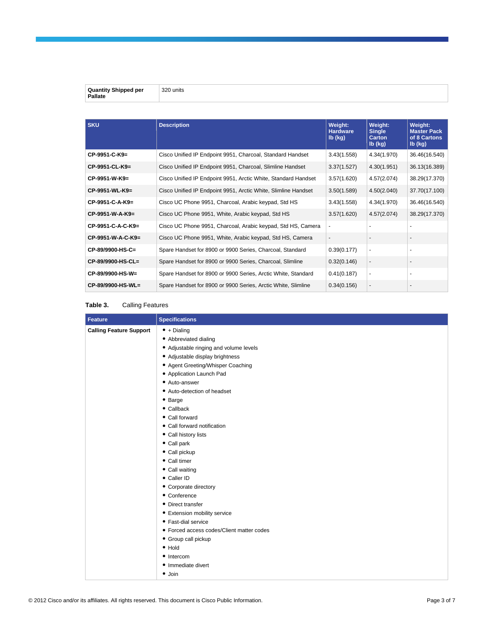| <b>Quantity Ship</b><br>per<br>Pallate | $\sim$<br>⊡nits:<br>$\sim$ |
|----------------------------------------|----------------------------|

| <b>SKU</b>        | <b>Description</b>                                             | Weight:<br><b>Hardware</b><br>lb (kg) | Weight:<br><b>Single</b><br><b>Carton</b><br>$Ib$ (kg) | Weight:<br><b>Master Pack</b><br>of 8 Cartons<br>$Ib$ (kg) |
|-------------------|----------------------------------------------------------------|---------------------------------------|--------------------------------------------------------|------------------------------------------------------------|
| CP-9951-C-K9=     | Cisco Unified IP Endpoint 9951, Charcoal, Standard Handset     | 3.43(1.558)                           | 4.34(1.970)                                            | 36.46(16.540)                                              |
| CP-9951-CL-K9=    | Cisco Unified IP Endpoint 9951, Charcoal, Slimline Handset     | 3.37(1.527)                           | 4.30(1.951)                                            | 36.13(16.389)                                              |
| $CP-9951-W-K9=$   | Cisco Unified IP Endpoint 9951, Arctic White, Standard Handset | 3.57(1.620)                           | 4.57(2.074)                                            | 38.29(17.370)                                              |
| CP-9951-WL-K9=    | Cisco Unified IP Endpoint 9951, Arctic White, Slimline Handset | 3.50(1.589)                           | 4.50(2.040)                                            | 37.70(17.100)                                              |
| CP-9951-C-A-K9=   | Cisco UC Phone 9951, Charcoal, Arabic keypad, Std HS           | 3.43(1.558)                           | 4.34(1.970)                                            | 36.46(16.540)                                              |
| CP-9951-W-A-K9=   | Cisco UC Phone 9951, White, Arabic keypad, Std HS              | 3.57(1.620)                           | 4.57(2.074)                                            | 38.29(17.370)                                              |
| CP-9951-C-A-C-K9= | Cisco UC Phone 9951, Charcoal, Arabic keypad, Std HS, Camera   |                                       |                                                        |                                                            |
| CP-9951-W-A-C-K9= | Cisco UC Phone 9951, White, Arabic keypad, Std HS, Camera      |                                       |                                                        |                                                            |
| CP-89/9900-HS-C=  | Spare Handset for 8900 or 9900 Series, Charcoal, Standard      | 0.39(0.177)                           |                                                        | ٠                                                          |
| CP-89/9900-HS-CL= | Spare Handset for 8900 or 9900 Series, Charcoal, Slimline      | 0.32(0.146)                           |                                                        |                                                            |
| CP-89/9900-HS-W=  | Spare Handset for 8900 or 9900 Series, Arctic White, Standard  | 0.41(0.187)                           |                                                        | $\overline{\phantom{0}}$                                   |
| CP-89/9900-HS-WL= | Spare Handset for 8900 or 9900 Series, Arctic White, Slimline  | 0.34(0.156)                           |                                                        | $\overline{\phantom{a}}$                                   |

## **Table 3.** Calling Features

| <b>Feature</b>                 | <b>Specifications</b>                     |
|--------------------------------|-------------------------------------------|
| <b>Calling Feature Support</b> | $\bullet$ + Dialing                       |
|                                | • Abbreviated dialing                     |
|                                | • Adjustable ringing and volume levels    |
|                                | • Adjustable display brightness           |
|                                | • Agent Greeting/Whisper Coaching         |
|                                | • Application Launch Pad                  |
|                                | • Auto-answer                             |
|                                | • Auto-detection of headset               |
|                                | • Barge                                   |
|                                | $\bullet$ Callback                        |
|                                | • Call forward                            |
|                                | • Call forward notification               |
|                                | • Call history lists                      |
|                                | • Call park                               |
|                                | • Call pickup                             |
|                                | • Call timer                              |
|                                | • Call waiting                            |
|                                | • Caller ID                               |
|                                | • Corporate directory                     |
|                                | • Conference                              |
|                                | • Direct transfer                         |
|                                | • Extension mobility service              |
|                                | • Fast-dial service                       |
|                                | • Forced access codes/Client matter codes |
|                                | • Group call pickup                       |
|                                | $\bullet$ Hold                            |
|                                | • Intercom                                |
|                                | • Immediate divert                        |
|                                | $\bullet$ Join                            |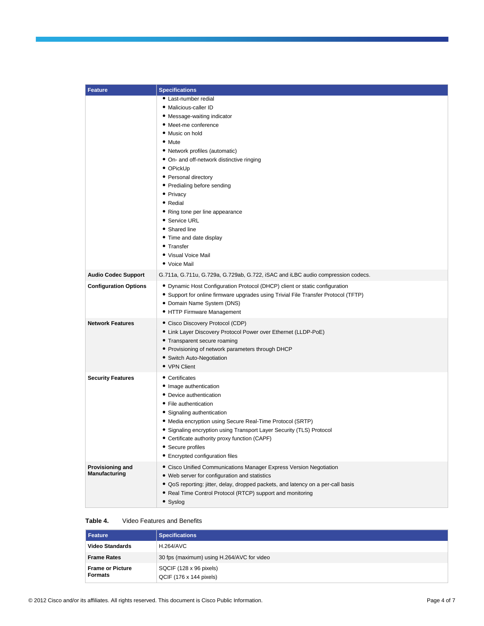| <b>Feature</b>                    | <b>Specifications</b>                                                                                                                                                                                                                                                                                                                                                                                                                                              |
|-----------------------------------|--------------------------------------------------------------------------------------------------------------------------------------------------------------------------------------------------------------------------------------------------------------------------------------------------------------------------------------------------------------------------------------------------------------------------------------------------------------------|
|                                   | • Last-number redial<br>• Malicious-caller ID<br>• Message-waiting indicator<br>• Meet-me conference<br>• Music on hold<br>• Mute<br>• Network profiles (automatic)<br>• On- and off-network distinctive ringing<br>• OPickUp<br>• Personal directory<br>• Predialing before sending<br>• Privacy<br>• Redial<br>• Ring tone per line appearance<br>• Service URL<br>• Shared line<br>• Time and date display<br>• Transfer<br>• Visual Voice Mail<br>• Voice Mail |
| <b>Audio Codec Support</b>        | G.711a, G.711u, G.729a, G.729ab, G.722, iSAC and iLBC audio compression codecs.                                                                                                                                                                                                                                                                                                                                                                                    |
| <b>Configuration Options</b>      | • Dynamic Host Configuration Protocol (DHCP) client or static configuration<br>• Support for online firmware upgrades using Trivial File Transfer Protocol (TFTP)<br>• Domain Name System (DNS)<br>• HTTP Firmware Management                                                                                                                                                                                                                                      |
| <b>Network Features</b>           | • Cisco Discovery Protocol (CDP)<br>• Link Layer Discovery Protocol Power over Ethernet (LLDP-PoE)<br>• Transparent secure roaming<br>• Provisioning of network parameters through DHCP<br>• Switch Auto-Negotiation<br>• VPN Client                                                                                                                                                                                                                               |
| <b>Security Features</b>          | • Certificates<br>• Image authentication<br>• Device authentication<br>• File authentication<br>• Signaling authentication<br>• Media encryption using Secure Real-Time Protocol (SRTP)<br>• Signaling encryption using Transport Layer Security (TLS) Protocol<br>• Certificate authority proxy function (CAPF)<br>• Secure profiles<br>• Encrypted configuration files                                                                                           |
| Provisioning and<br>Manufacturing | • Cisco Unified Communications Manager Express Version Negotiation<br>• Web server for configuration and statistics<br>• QoS reporting: jitter, delay, dropped packets, and latency on a per-call basis<br>• Real Time Control Protocol (RTCP) support and monitoring<br>• Syslog                                                                                                                                                                                  |

#### **Table 4.** Video Features and Benefits

| <b>Feature</b>                            | <b>Specifications</b>                              |
|-------------------------------------------|----------------------------------------------------|
| <b>Video Standards</b>                    | <b>H.264/AVC</b>                                   |
| <b>Frame Rates</b>                        | 30 fps (maximum) using H.264/AVC for video         |
| <b>Frame or Picture</b><br><b>Formats</b> | SQCIF (128 x 96 pixels)<br>QCIF (176 x 144 pixels) |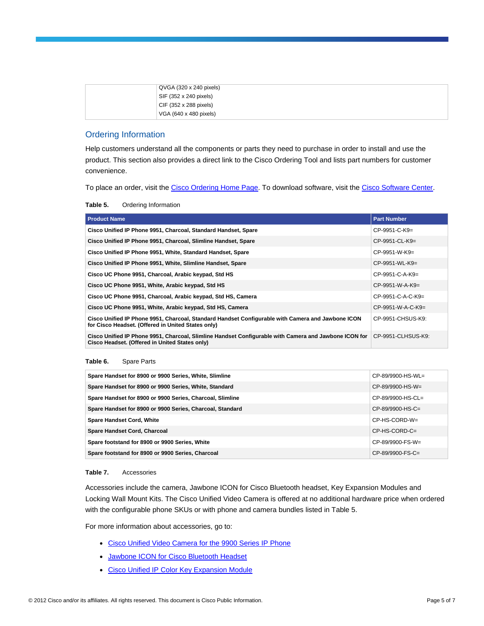| $QVGA$ (320 x 240 pixels) |
|---------------------------|
| SIF (352 x 240 pixels)    |
| CIF (352 x 288 pixels)    |
| VGA (640 x 480 pixels)    |

## Ordering Information

Help customers understand all the components or parts they need to purchase in order to install and use the product. This section also provides a direct link to the Cisco Ordering Tool and lists part numbers for customer convenience.

To place an order, visit th[e Cisco Ordering Home Page.](http://www.cisco.com/en/US/ordering/or13/or8/order_customer_help_how_to_order_listing.html) To download software, visit th[e Cisco Software Center.](http://www.cisco.com/kobayashi/sw-center/sw-ios.shtml)

| Table 5. | Ordering Information |
|----------|----------------------|
|----------|----------------------|

| <b>Product Name</b>                                                                                                                                     | <b>Part Number</b>  |
|---------------------------------------------------------------------------------------------------------------------------------------------------------|---------------------|
| Cisco Unified IP Phone 9951, Charcoal, Standard Handset, Spare                                                                                          | $CP-9951-C-K9=$     |
| Cisco Unified IP Phone 9951, Charcoal, Slimline Handset, Spare                                                                                          | $CP-9951-CL-K9=$    |
| Cisco Unified IP Phone 9951, White, Standard Handset, Spare                                                                                             | $CP-9951-W-K9=$     |
| Cisco Unified IP Phone 9951, White, Slimline Handset, Spare                                                                                             | $CP-9951-WL-K9=$    |
| Cisco UC Phone 9951, Charcoal, Arabic keypad, Std HS                                                                                                    | $CP-9951-C-A-K9=$   |
| Cisco UC Phone 9951, White, Arabic keypad, Std HS                                                                                                       | $CP-9951-W-A-K9=$   |
| Cisco UC Phone 9951, Charcoal, Arabic keypad, Std HS, Camera                                                                                            | $CP-9951-C-A-C-K9=$ |
| Cisco UC Phone 9951, White, Arabic keypad, Std HS, Camera                                                                                               | $CP-9951-W-A-C-K9=$ |
| Cisco Unified IP Phone 9951, Charcoal, Standard Handset Configurable with Camera and Jawbone ICON<br>for Cisco Headset. (Offered in United States only) | CP-9951-CHSUS-K9:   |
| Cisco Unified IP Phone 9951, Charcoal, Slimline Handset Configurable with Camera and Jawbone ICON for<br>Cisco Headset. (Offered in United States only) | CP-9951-CLHSUS-K9:  |

#### **Table 6.** Spare Parts

| Spare Handset for 8900 or 9900 Series, White, Slimline    | $CP-89/9900-HS-WL=$ |
|-----------------------------------------------------------|---------------------|
| Spare Handset for 8900 or 9900 Series, White, Standard    | $CP-89/9900-HS-W=$  |
| Spare Handset for 8900 or 9900 Series, Charcoal, Slimline | $CP-89/9900-HS-CL=$ |
| Spare Handset for 8900 or 9900 Series, Charcoal, Standard | $CP-89/9900-HS-C=$  |
| <b>Spare Handset Cord, White</b>                          | CP-HS-CORD-W=       |
| <b>Spare Handset Cord, Charcoal</b>                       | $CP$ -HS-CORD-C=    |
| Spare footstand for 8900 or 9900 Series, White            | $CP-89/9900-FS-W=$  |
| Spare footstand for 8900 or 9900 Series, Charcoal         | $CP-89/9900-FS-C=$  |

#### **Table 7.** Accessories

Accessories include the camera, Jawbone ICON for Cisco Bluetooth headset, Key Expansion Modules and Locking Wall Mount Kits. The Cisco Unified Video Camera is offered at no additional hardware price when ordered with the configurable phone SKUs or with phone and camera bundles listed in Table 5.

For more information about accessories, go to:

- [Cisco Unified Video Camera for the 9900 Series IP Phone](http://www.cisco.com/en/US/products/ps10677/index.html)
- [Jawbone ICON for Cisco Bluetooth Headset](http://www.cisco.com/en/US/products/ps11204/index.html)
- [Cisco Unified IP Color Key Expansion Module](http://www.cisco.com/en/US/products/ps10676/index.html)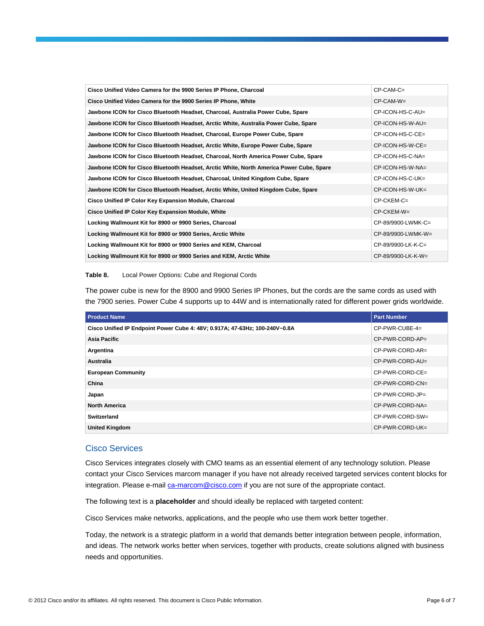| Cisco Unified Video Camera for the 9900 Series IP Phone, Charcoal                       | $CP-CAM-C=$          |
|-----------------------------------------------------------------------------------------|----------------------|
| Cisco Unified Video Camera for the 9900 Series IP Phone, White                          | $CP-CAM-W=$          |
| Jawbone ICON for Cisco Bluetooth Headset, Charcoal, Australia Power Cube, Spare         | CP-ICON-HS-C-AU=     |
| Jawbone ICON for Cisco Bluetooth Headset, Arctic White, Australia Power Cube, Spare     | CP-ICON-HS-W-AU=     |
| Jawbone ICON for Cisco Bluetooth Headset, Charcoal, Europe Power Cube, Spare            | CP-ICON-HS-C-CE=     |
| Jawbone ICON for Cisco Bluetooth Headset, Arctic White, Europe Power Cube, Spare        | $CP$ -ICON-HS-W-CE=  |
| Jawbone ICON for Cisco Bluetooth Headset, Charcoal, North America Power Cube, Spare     | CP-ICON-HS-C-NA=     |
| Jawbone ICON for Cisco Bluetooth Headset, Arctic White, North America Power Cube, Spare | CP-ICON-HS-W-NA=     |
| Jawbone ICON for Cisco Bluetooth Headset, Charcoal, United Kingdom Cube, Spare          | CP-ICON-HS-C-UK=     |
| Jawbone ICON for Cisco Bluetooth Headset, Arctic White, United Kingdom Cube, Spare      | CP-ICON-HS-W-UK=     |
| Cisco Unified IP Color Key Expansion Module, Charcoal                                   | $CP-CKEM-C=$         |
| Cisco Unified IP Color Key Expansion Module, White                                      | $CP$ -CKEM-W=        |
| Locking Wallmount Kit for 8900 or 9900 Series, Charcoal                                 | CP-89/9900-LWMK-C=   |
| Locking Wallmount Kit for 8900 or 9900 Series, Arctic White                             | CP-89/9900-LWMK-W=   |
| Locking Wallmount Kit for 8900 or 9900 Series and KEM, Charcoal                         | CP-89/9900-LK-K-C=   |
| Locking Wallmount Kit for 8900 or 9900 Series and KEM, Arctic White                     | $CP-89/9900-LK-K-W=$ |

#### **Table 8.** Local Power Options: Cube and Regional Cords

The power cube is new for the 8900 and 9900 Series IP Phones, but the cords are the same cords as used with the 7900 series. Power Cube 4 supports up to 44W and is internationally rated for different power grids worldwide.

| <b>Product Name</b>                                                         | <b>Part Number</b> |
|-----------------------------------------------------------------------------|--------------------|
| Cisco Unified IP Endpoint Power Cube 4: 48V; 0.917A; 47-63Hz; 100-240V~0.8A | $CP-PWR-CUBE-4=$   |
| Asia Pacific                                                                | CP-PWR-CORD-AP=    |
| Argentina                                                                   | CP-PWR-CORD-AR=    |
| Australia                                                                   | CP-PWR-CORD-AU=    |
| <b>European Community</b>                                                   | CP-PWR-CORD-CE=    |
| China                                                                       | CP-PWR-CORD-CN=    |
| Japan                                                                       | CP-PWR-CORD-JP=    |
| <b>North America</b>                                                        | CP-PWR-CORD-NA=    |
| Switzerland                                                                 | CP-PWR-CORD-SW=    |
| <b>United Kingdom</b>                                                       | CP-PWR-CORD-UK=    |

#### Cisco Services

Cisco Services integrates closely with CMO teams as an essential element of any technology solution. Please contact your Cisco Services marcom manager if you have not already received targeted services content blocks for integration. Please e-mail [ca-marcom@cisco.com](mailto:ca-marcom@cisco.com) if you are not sure of the appropriate contact.

The following text is a **placeholder** and should ideally be replaced with targeted content:

Cisco Services make networks, applications, and the people who use them work better together.

Today, the network is a strategic platform in a world that demands better integration between people, information, and ideas. The network works better when services, together with products, create solutions aligned with business needs and opportunities.